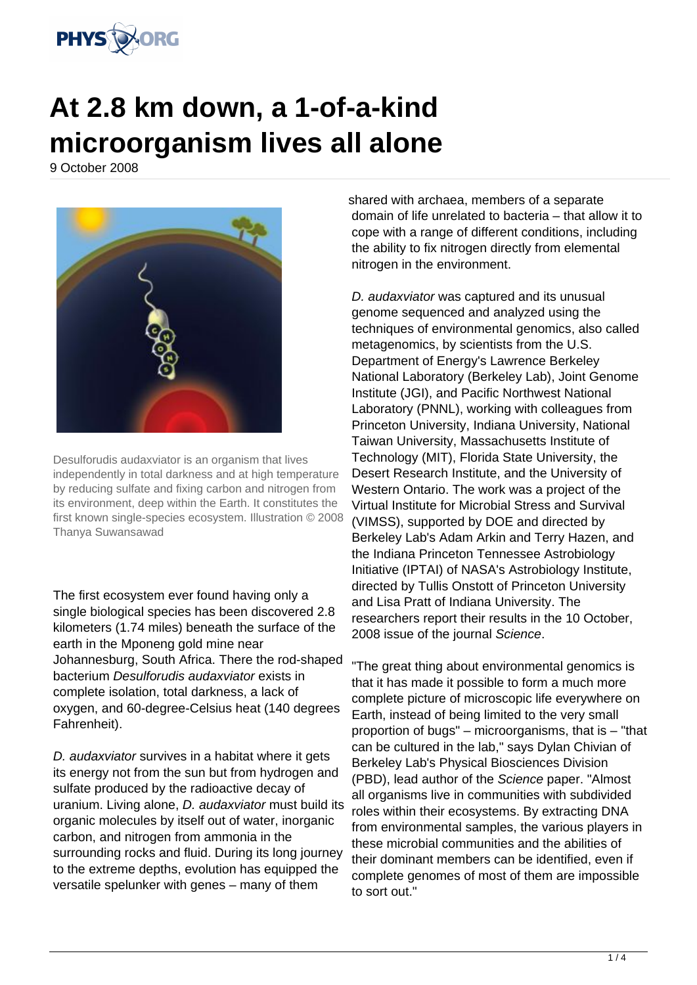

## **At 2.8 km down, a 1-of-a-kind microorganism lives all alone**

9 October 2008



Desulforudis audaxviator is an organism that lives independently in total darkness and at high temperature by reducing sulfate and fixing carbon and nitrogen from its environment, deep within the Earth. It constitutes the first known single-species ecosystem. Illustration © 2008 Thanya Suwansawad

The first ecosystem ever found having only a single biological species has been discovered 2.8 kilometers (1.74 miles) beneath the surface of the earth in the Mponeng gold mine near Johannesburg, South Africa. There the rod-shaped bacterium Desulforudis audaxviator exists in complete isolation, total darkness, a lack of oxygen, and 60-degree-Celsius heat (140 degrees Fahrenheit).

D. audaxviator survives in a habitat where it gets its energy not from the sun but from hydrogen and sulfate produced by the radioactive decay of uranium. Living alone, *D. audaxviator* must build its organic molecules by itself out of water, inorganic carbon, and nitrogen from ammonia in the surrounding rocks and fluid. During its long journey to the extreme depths, evolution has equipped the versatile spelunker with genes – many of them

shared with archaea, members of a separate domain of life unrelated to bacteria – that allow it to cope with a range of different conditions, including the ability to fix nitrogen directly from elemental nitrogen in the environment.

D. audaxviator was captured and its unusual genome sequenced and analyzed using the techniques of environmental genomics, also called metagenomics, by scientists from the U.S. Department of Energy's Lawrence Berkeley National Laboratory (Berkeley Lab), Joint Genome Institute (JGI), and Pacific Northwest National Laboratory (PNNL), working with colleagues from Princeton University, Indiana University, National Taiwan University, Massachusetts Institute of Technology (MIT), Florida State University, the Desert Research Institute, and the University of Western Ontario. The work was a project of the Virtual Institute for Microbial Stress and Survival (VIMSS), supported by DOE and directed by Berkeley Lab's Adam Arkin and Terry Hazen, and the Indiana Princeton Tennessee Astrobiology Initiative (IPTAI) of NASA's Astrobiology Institute, directed by Tullis Onstott of Princeton University and Lisa Pratt of Indiana University. The researchers report their results in the 10 October, 2008 issue of the journal Science.

"The great thing about environmental genomics is that it has made it possible to form a much more complete picture of microscopic life everywhere on Earth, instead of being limited to the very small proportion of bugs" – microorganisms, that is – "that can be cultured in the lab," says Dylan Chivian of Berkeley Lab's Physical Biosciences Division (PBD), lead author of the Science paper. "Almost all organisms live in communities with subdivided roles within their ecosystems. By extracting DNA from environmental samples, the various players in these microbial communities and the abilities of their dominant members can be identified, even if complete genomes of most of them are impossible to sort out."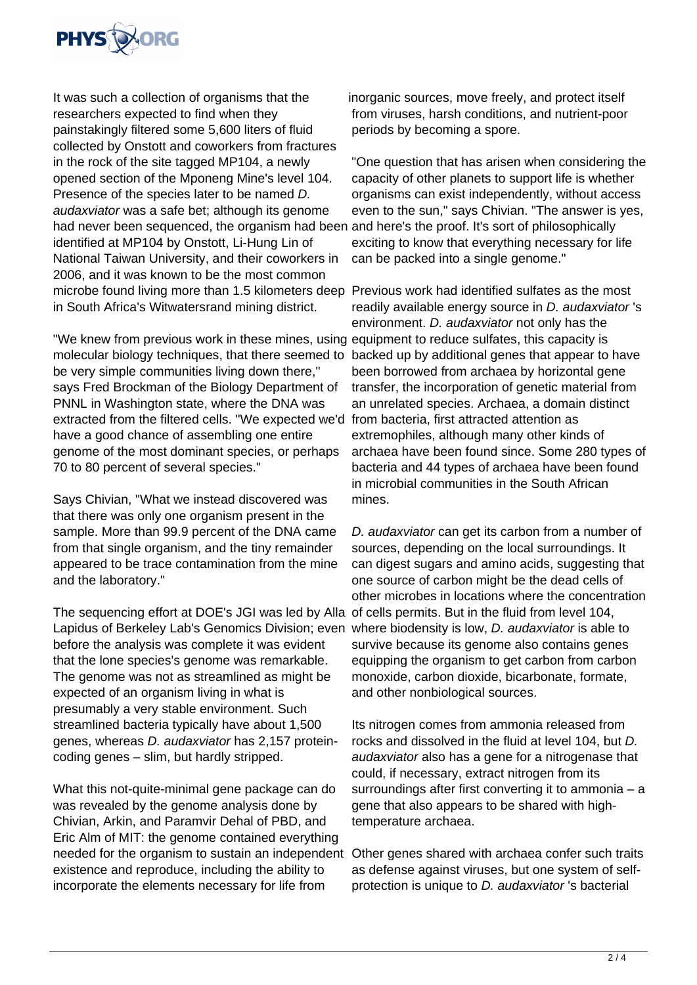

It was such a collection of organisms that the researchers expected to find when they painstakingly filtered some 5,600 liters of fluid collected by Onstott and coworkers from fractures in the rock of the site tagged MP104, a newly opened section of the Mponeng Mine's level 104. Presence of the species later to be named D. audaxviator was a safe bet; although its genome had never been sequenced, the organism had been and here's the proof. It's sort of philosophically identified at MP104 by Onstott, Li-Hung Lin of National Taiwan University, and their coworkers in 2006, and it was known to be the most common microbe found living more than 1.5 kilometers deep Previous work had identified sulfates as the most in South Africa's Witwatersrand mining district.

"We knew from previous work in these mines, using equipment to reduce sulfates, this capacity is molecular biology techniques, that there seemed to backed up by additional genes that appear to have be very simple communities living down there," says Fred Brockman of the Biology Department of PNNL in Washington state, where the DNA was extracted from the filtered cells. "We expected we'd have a good chance of assembling one entire genome of the most dominant species, or perhaps 70 to 80 percent of several species."

Says Chivian, "What we instead discovered was that there was only one organism present in the sample. More than 99.9 percent of the DNA came from that single organism, and the tiny remainder appeared to be trace contamination from the mine and the laboratory."

The sequencing effort at DOE's JGI was led by Alla of cells permits. But in the fluid from level 104, Lapidus of Berkeley Lab's Genomics Division; even where biodensity is low, *D. audaxviator* is able to before the analysis was complete it was evident that the lone species's genome was remarkable. The genome was not as streamlined as might be expected of an organism living in what is presumably a very stable environment. Such streamlined bacteria typically have about 1,500 genes, whereas D. audaxviator has 2,157 proteincoding genes – slim, but hardly stripped.

What this not-quite-minimal gene package can do was revealed by the genome analysis done by Chivian, Arkin, and Paramvir Dehal of PBD, and Eric Alm of MIT: the genome contained everything needed for the organism to sustain an independent existence and reproduce, including the ability to incorporate the elements necessary for life from

inorganic sources, move freely, and protect itself from viruses, harsh conditions, and nutrient-poor periods by becoming a spore.

"One question that has arisen when considering the capacity of other planets to support life is whether organisms can exist independently, without access even to the sun," says Chivian. "The answer is yes, exciting to know that everything necessary for life can be packed into a single genome."

readily available energy source in D. audaxviator 's environment. D. audaxviator not only has the been borrowed from archaea by horizontal gene transfer, the incorporation of genetic material from an unrelated species. Archaea, a domain distinct from bacteria, first attracted attention as extremophiles, although many other kinds of archaea have been found since. Some 280 types of bacteria and 44 types of archaea have been found in microbial communities in the South African mines.

D. audaxviator can get its carbon from a number of sources, depending on the local surroundings. It can digest sugars and amino acids, suggesting that one source of carbon might be the dead cells of other microbes in locations where the concentration survive because its genome also contains genes equipping the organism to get carbon from carbon monoxide, carbon dioxide, bicarbonate, formate, and other nonbiological sources.

Its nitrogen comes from ammonia released from rocks and dissolved in the fluid at level 104, but D. audaxviator also has a gene for a nitrogenase that could, if necessary, extract nitrogen from its surroundings after first converting it to ammonia – a gene that also appears to be shared with hightemperature archaea.

Other genes shared with archaea confer such traits as defense against viruses, but one system of selfprotection is unique to D. audaxviator 's bacterial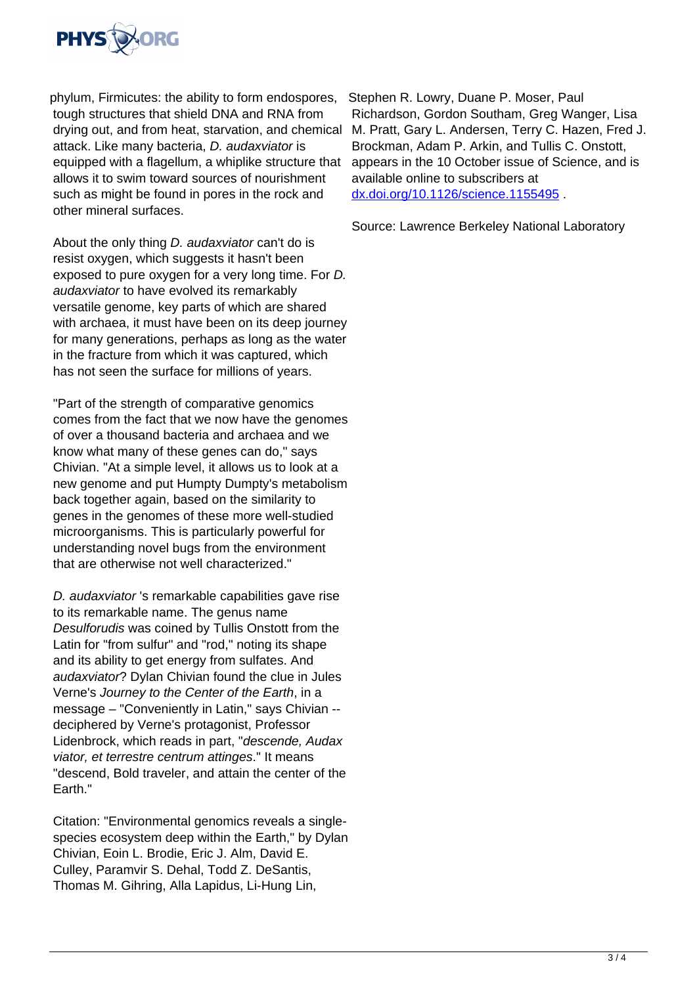

phylum, Firmicutes: the ability to form endospores, tough structures that shield DNA and RNA from drying out, and from heat, starvation, and chemical attack. Like many bacteria, D. audaxviator is equipped with a flagellum, a whiplike structure that allows it to swim toward sources of nourishment such as might be found in pores in the rock and other mineral surfaces.

About the only thing D. audaxviator can't do is resist oxygen, which suggests it hasn't been exposed to pure oxygen for a very long time. For D. audaxviator to have evolved its remarkably versatile genome, key parts of which are shared with archaea, it must have been on its deep journey for many generations, perhaps as long as the water in the fracture from which it was captured, which has not seen the surface for millions of years.

"Part of the strength of comparative genomics comes from the fact that we now have the genomes of over a thousand bacteria and archaea and we know what many of these genes can do," says Chivian. "At a simple level, it allows us to look at a new genome and put Humpty Dumpty's metabolism back together again, based on the similarity to genes in the genomes of these more well-studied microorganisms. This is particularly powerful for understanding novel bugs from the environment that are otherwise not well characterized."

D. audaxviator 's remarkable capabilities gave rise to its remarkable name. The genus name Desulforudis was coined by Tullis Onstott from the Latin for "from sulfur" and "rod," noting its shape and its ability to get energy from sulfates. And audaxviator? Dylan Chivian found the clue in Jules Verne's Journey to the Center of the Earth, in a message – "Conveniently in Latin," says Chivian - deciphered by Verne's protagonist, Professor Lidenbrock, which reads in part, "descende, Audax viator, et terrestre centrum attinges." It means "descend, Bold traveler, and attain the center of the Earth."

Citation: "Environmental genomics reveals a singlespecies ecosystem deep within the Earth," by Dylan Chivian, Eoin L. Brodie, Eric J. Alm, David E. Culley, Paramvir S. Dehal, Todd Z. DeSantis, Thomas M. Gihring, Alla Lapidus, Li-Hung Lin,

Stephen R. Lowry, Duane P. Moser, Paul Richardson, Gordon Southam, Greg Wanger, Lisa M. Pratt, Gary L. Andersen, Terry C. Hazen, Fred J. Brockman, Adam P. Arkin, and Tullis C. Onstott, appears in the 10 October issue of Science, and is available online to subscribers at [dx.doi.org/10.1126/science.1155495](http://dx.doi.org/10.1126/science.1155495) .

Source: Lawrence Berkeley National Laboratory